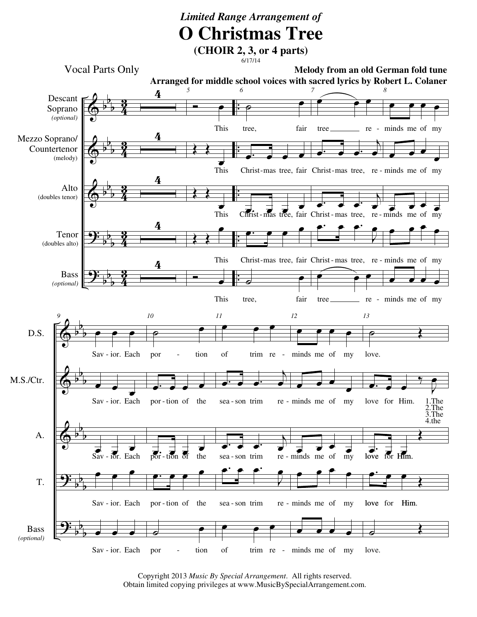## *Limited Range Arrangement of* **O Christmas Tree**

**(CHOIR 2, 3, or 4 parts)**  $6/17/14$ 



Copyright 2013 *Music By Special Arrangement*. All rights reserved. Obtain limited copying privileges at www.MusicBySpecialArrangement.com.